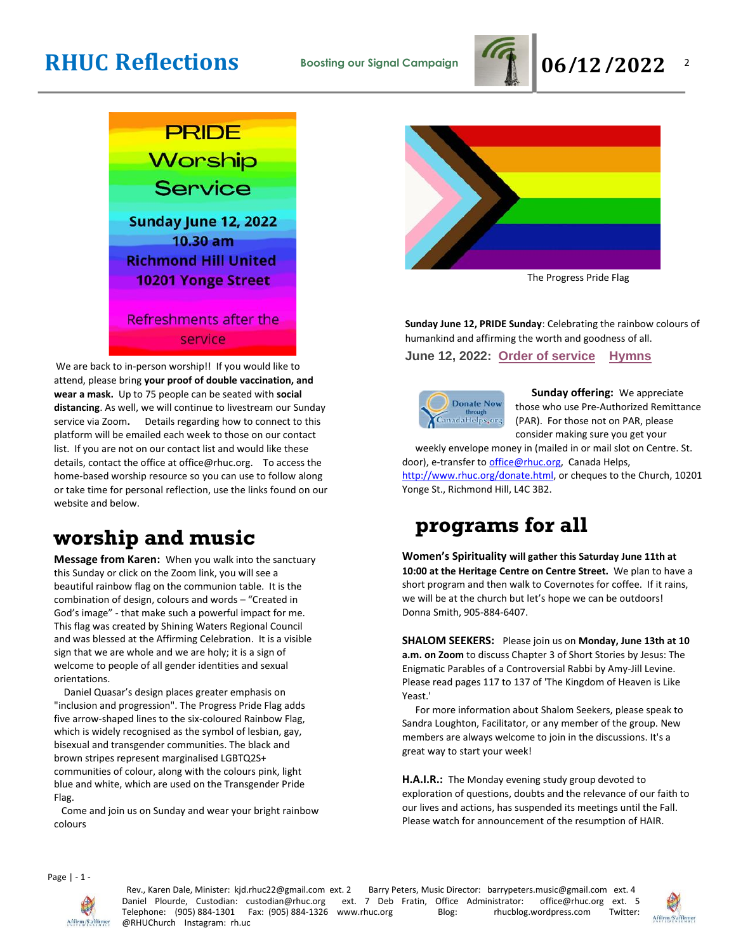

 $\overline{2}$ 



We are back to in-person worship!! If you would like to attend, please bring **your proof of double vaccination, and wear a mask.** Up to 75 people can be seated with **social distancing**. As well, we will continue to livestream our Sunday service via Zoom**.** Details regarding how to connect to this platform will be emailed each week to those on our contact list. If you are not on our contact list and would like these details, contact the office at office@rhuc.org. To access the home-based worship resource so you can use to follow along or take time for personal reflection, use the links found on our website and below.

### **worship and music**

**Message from Karen:** When you walk into the sanctuary this Sunday or click on the Zoom link, you will see a beautiful rainbow flag on the communion table. It is the combination of design, colours and words – "Created in God's image" - that make such a powerful impact for me. This flag was created by Shining Waters Regional Council and was blessed at the Affirming Celebration. It is a visible sign that we are whole and we are holy; it is a sign of welcome to people of all gender identities and sexual orientations.

 Daniel Quasar's design places greater emphasis on "inclusion and progression". The Progress Pride Flag adds five arrow-shaped lines to the six-coloured Rainbow Flag, which is widely recognised as the symbol of lesbian, gay, bisexual and transgender communities. The black and brown stripes represent marginalised LGBTQ2S+ communities of colour, along with the colours pink, light blue and white, which are used on the Transgender Pride Flag.

 Come and join us on Sunday and wear your bright rainbow colours



The Progress Pride Flag

**Sunday June 12, PRIDE Sunday**: Celebrating the rainbow colours of humankind and affirming the worth and goodness of all.

**June 12, 2022: Order of [service](http://rhuc.org/June%2012%20OofS%20Pride%20(1).pdf) [Hymns](http://rhuc.org/Hymns%20for%202022%2006%2012.pdf)**



**Sunday offering:** We appreciate those who use Pre-Authorized Remittance (PAR). For those not on PAR, please consider making sure you get your

weekly envelope money in (mailed in or mail slot on Centre. St. door), e-transfer to office@rhuc.org, Canada Helps, [http://www.rhuc.org/donate.html,](http://www.rhuc.org/donate.html) or cheques to the Church, 10201 Yonge St., Richmond Hill, L4C 3B2.

## **programs for all**

**Women's Spirituality will gather this Saturday June 11th at 10:00 at the Heritage Centre on Centre Street.** We plan to have a short program and then walk to Covernotes for coffee. If it rains, we will be at the church but let's hope we can be outdoors! Donna Smith, 905-884-6407.

**SHALOM SEEKERS:** Please join us on **Monday, June 13th at 10 a.m. on Zoom** to discuss Chapter 3 of Short Stories by Jesus: The Enigmatic Parables of a Controversial Rabbi by Amy-Jill Levine. Please read pages 117 to 137 of 'The Kingdom of Heaven is Like Yeast.'

For more information about Shalom Seekers, please speak to Sandra Loughton, Facilitator, or any member of the group. New members are always welcome to join in the discussions. It's a great way to start your week!

**H.A.I.R.:** The Monday evening study group devoted to exploration of questions, doubts and the relevance of our faith to our lives and actions, has suspended its meetings until the Fall. Please watch for announcement of the resumption of HAIR.

Page | - 1 -



Rev., Karen Dale, Minister: kjd.rhuc22@gmail.com ext. 2 Barry Peters, Music Director: barrypeters.music@gmail.com ext. 4 Daniel Plourde, Custodian: custodian@rhuc.org ext. 7 Deb Fratin, Office Administrator: office@rhuc.org ext. 5<br>Telephone: (905)884-1301 Fax: (905)884-1326 www.rhuc.org Blog: rhucblog.wordpress.com Twitter: Telephone: (905) 884-1301 Fax: (905) 884-1326 www.rhuc.org @RHUChurch Instagram: rh.uc

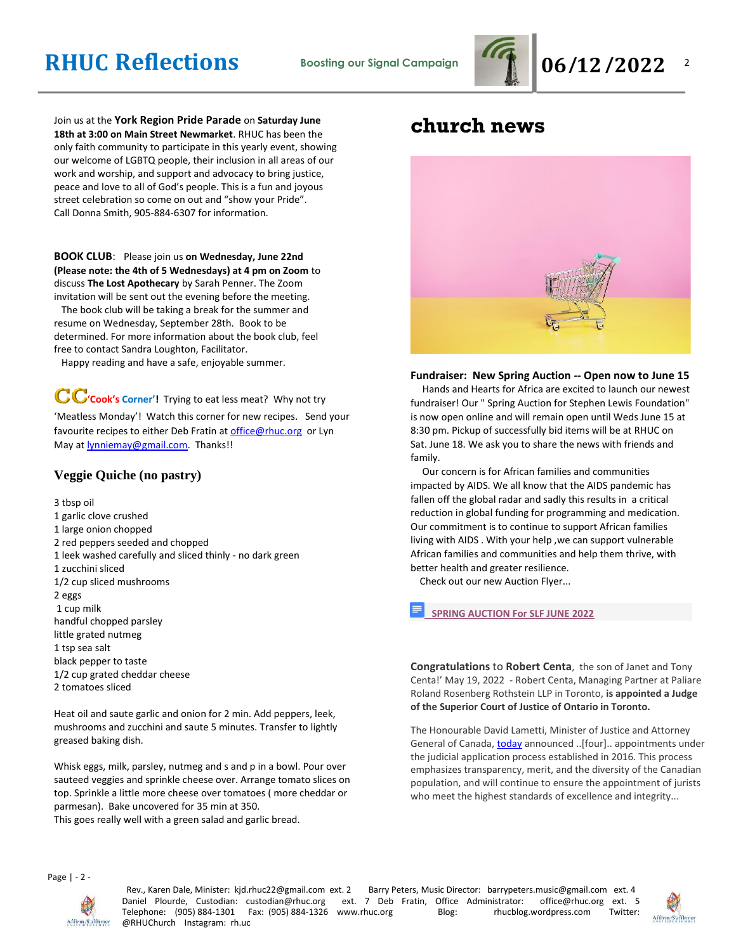

 $\overline{2}$ 

Join us at the **York Region Pride Parade** on **Saturday June 18th at 3:00 on Main Street Newmarket**. RHUC has been the only faith community to participate in this yearly event, showing our welcome of LGBTQ people, their inclusion in all areas of our work and worship, and support and advocacy to bring justice, peace and love to all of God's people. This is a fun and joyous street celebration so come on out and "show your Pride". Call Donna Smith, 905-884-6307 for information.

#### **BOOK CLUB**: Please join us **on Wednesday, June 22nd (Please note: the 4th of 5 Wednesdays) at 4 pm on Zoom** to discuss **The Lost Apothecary** by Sarah Penner. The Zoom invitation will be sent out the evening before the meeting.

 The book club will be taking a break for the summer and resume on Wednesday, September 28th. Book to be determined. For more information about the book club, feel free to contact Sandra Loughton, Facilitator.

Happy reading and have a safe, enjoyable summer.

**CC**'cook's Corner'! Trying to eat less meat? Why not try 'Meatless Monday'! Watch this corner for new recipes. Send your favourite recipes to either Deb Fratin at [office@rhuc.org](mailto:office@rhuc.org) or Lyn May at **lynniemay@gmail.com**. Thanks!!

### **Veggie Quiche (no pastry)**

3 tbsp oil 1 garlic clove crushed 1 large onion chopped 2 red peppers seeded and chopped 1 leek washed carefully and sliced thinly - no dark green 1 zucchini sliced 1/2 cup sliced mushrooms 2 eggs 1 cup milk handful chopped parsley little grated nutmeg 1 tsp sea salt black pepper to taste 1/2 cup grated cheddar cheese 2 tomatoes sliced

Heat oil and saute garlic and onion for 2 min. Add peppers, leek, mushrooms and zucchini and saute 5 minutes. Transfer to lightly greased baking dish.

Whisk eggs, milk, parsley, nutmeg and s and p in a bowl. Pour over sauteed veggies and sprinkle cheese over. Arrange tomato slices on top. Sprinkle a little more cheese over tomatoes ( more cheddar or parmesan). Bake uncovered for 35 min at 350. This goes really well with a green salad and garlic bread.

### **church news**



**Fundraiser: New Spring Auction -- Open now to June 15** Hands and Hearts for Africa are excited to launch our newest fundraiser! Our " Spring Auction for Stephen Lewis Foundation" is now open online and will remain open until Weds June 15 at 8:30 pm. Pickup of successfully bid items will be at RHUC on Sat. June 18. We ask you to share the news with friends and family.

 Our concern is for African families and communities impacted by AIDS. We all know that the AIDS pandemic has fallen off the global radar and sadly this results in a critical reduction in global funding for programming and medication. Our commitment is to continue to support African families living with AIDS . With your help ,we can support vulnerable African families and communities and help them thrive, with better health and greater resilience.

Check out our new Auction Flyer...

**[SPRING AUCTION For SLF JUNE 2022](https://docs.google.com/document/d/1lKbKUPCLsM7CQyZLgGa8goX9WU9jusXxt1UyPp7Tf8U/edit?usp=drivesdk)**

**Congratulations** to **Robert Centa**, the son of Janet and Tony Centa!' May 19, 2022 - Robert Centa, Managing Partner at Paliare Roland Rosenberg Rothstein LLP in Toronto, **is appointed a Judge of the Superior Court of Justice of Ontario in Toronto.**

The Honourable David Lametti, Minister of Justice and Attorney General of Canada, [today](https://webmail.bellhosting.ca/) announced ..[four].. appointments under the judicial application process established in 2016. This process emphasizes transparency, merit, and the diversity of the Canadian population, and will continue to ensure the appointment of jurists who meet the highest standards of excellence and integrity...

Page | - 2 -



Rev., Karen Dale, Minister: kjd.rhuc22@gmail.com ext. 2 Barry Peters, Music Director: barrypeters.music@gmail.com ext. 4 Daniel Plourde, Custodian: custodian@rhuc.org ext. 7 Deb Fratin, Office Administrator: office@rhuc.org ext. 5<br>Telephone: (905) 884-1301 Fax: (905) 884-1326 www.rhuc.org Blog: hucblog.wordpress.com Twitter: Telephone: (905) 884-1301 Fax: (905) 884-1326 www.rhuc.org Blog: rhucblog.wordpress.com @RHUChurch Instagram: rh.uc

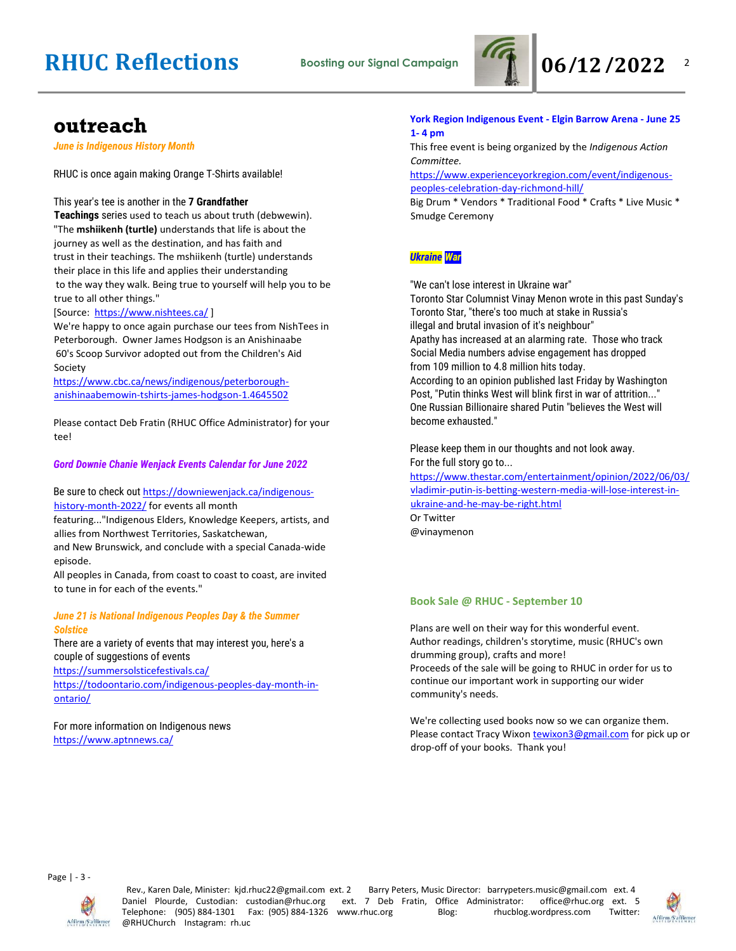

 $\overline{2}$ 

### **outreach**

*June is Indigenous History Month*

RHUC is once again making Orange T-Shirts available!

#### This year's tee is another in the **7 Grandfather**

**Teachings** series used to teach us about truth (debwewin). "The **mshiikenh (turtle)** understands that life is about the journey as well as the destination, and has faith and trust in their teachings. The mshiikenh (turtle) understands their place in this life and applies their understanding to the way they walk. Being true to yourself will help you to be true to all other things."

#### [Source: <https://www.nishtees.ca/>]

We're happy to once again purchase our tees from NishTees in Peterborough. Owner James Hodgson is an Anishinaabe 60's Scoop Survivor adopted out from the Children's Aid Society

[https://www.cbc.ca/news/indigenous/peterborough](https://www.cbc.ca/news/indigenous/peterborough-anishinaabemowin-tshirts-james-hodgson-1.4645502)[anishinaabemowin-tshirts-james-hodgson-1.4645502](https://www.cbc.ca/news/indigenous/peterborough-anishinaabemowin-tshirts-james-hodgson-1.4645502)

Please contact Deb Fratin (RHUC Office Administrator) for your tee!

#### *Gord Downie Chanie Wenjack Events Calendar for June 2022*

#### Be sure to check out [https://downiewenjack.ca/indigenous](https://downiewenjack.ca/indigenous-history-month-2022/)[history-month-2022/](https://downiewenjack.ca/indigenous-history-month-2022/) for events all month

featuring..."Indigenous Elders, Knowledge Keepers, artists, and allies from Northwest Territories, Saskatchewan,

and New Brunswick, and conclude with a special Canada-wide episode.

All peoples in Canada, from coast to coast to coast, are invited to tune in for each of the events."

#### *June 21 is National Indigenous Peoples Day & the Summer Solstice*

There are a variety of events that may interest you, here's a couple of suggestions of events

<https://summersolsticefestivals.ca/>

[https://todoontario.com/indigenous-peoples-day-month-in](https://todoontario.com/indigenous-peoples-day-month-in-ontario/)[ontario/](https://todoontario.com/indigenous-peoples-day-month-in-ontario/)

#### For more information on Indigenous news <https://www.aptnnews.ca/>

#### **York Region Indigenous Event - Elgin Barrow Arena - June 25 1- 4 pm**

This free event is being organized by the *Indigenous Action Committee.*

[https://www.experienceyorkregion.com/event/indigenous](https://www.experienceyorkregion.com/event/indigenous-peoples-celebration-day-richmond-hill/)[peoples-celebration-day-richmond-hill/](https://www.experienceyorkregion.com/event/indigenous-peoples-celebration-day-richmond-hill/)

Big Drum \* Vendors \* Traditional Food \* Crafts \* Live Music \* Smudge Ceremony

#### *Ukraine War*

"We can't lose interest in Ukraine war"

Toronto Star Columnist Vinay Menon wrote in this past Sunday's Toronto Star, "there's too much at stake in Russia's illegal and brutal invasion of it's neighbour" Apathy has increased at an alarming rate. Those who track Social Media numbers advise engagement has dropped from 109 million to 4.8 million hits today.

According to an opinion published last Friday by Washington Post, "Putin thinks West will blink first in war of attrition..." One Russian Billionaire shared Putin "believes the West will become exhausted."

Please keep them in our thoughts and not look away. For the full story go to... [https://www.thestar.com/entertainment/opinion/2022/06/03/](https://www.thestar.com/entertainment/opinion/2022/06/03/vladimir-putin-is-betting-western-media-will-lose-interest-in-ukraine-and-he-may-be-right.html) [vladimir-putin-is-betting-western-media-will-lose-interest-in-](https://www.thestar.com/entertainment/opinion/2022/06/03/vladimir-putin-is-betting-western-media-will-lose-interest-in-ukraine-and-he-may-be-right.html)

[ukraine-and-he-may-be-right.html](https://www.thestar.com/entertainment/opinion/2022/06/03/vladimir-putin-is-betting-western-media-will-lose-interest-in-ukraine-and-he-may-be-right.html) Or Twitter

@vinaymenon

#### **Book Sale @ RHUC - September 10**

Plans are well on their way for this wonderful event. Author readings, children's storytime, music (RHUC's own drumming group), crafts and more! Proceeds of the sale will be going to RHUC in order for us to continue our important work in supporting our wider community's needs.

We're collecting used books now so we can organize them. Please contact Tracy Wixon [tewixon3@gmail.com](mailto:tewixon3@gmail.com) for pick up or drop-off of your books. Thank you!

Page | - 3 -



Rev., Karen Dale, Minister: kjd.rhuc22@gmail.com ext. 2 Barry Peters, Music Director: barrypeters.music@gmail.com ext. 4 Daniel Plourde, Custodian: custodian@rhuc.org ext. 7 Deb Fratin, Office Administrator: office@rhuc.org ext. 5 Telephone: (905) 884-1301 Fax: (905) 884-1326 www.rhuc.org Blog: rhucblog.wordpress.com Twitter: @RHUChurch Instagram: rh.uc